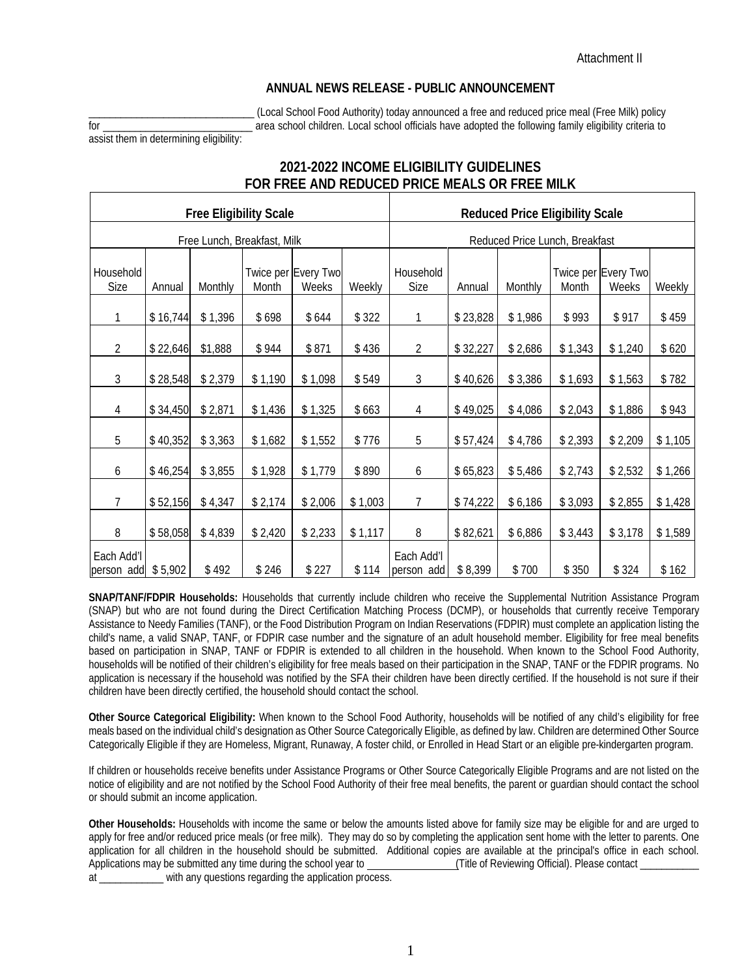## **ANNUAL NEWS RELEASE - PUBLIC ANNOUNCEMENT**

\_\_\_\_\_\_\_\_\_\_\_\_\_\_\_\_\_\_\_\_\_\_\_\_\_\_\_\_\_\_\_ (Local School Food Authority) today announced a free and reduced price meal (Free Milk) policy for \_\_\_\_\_\_\_\_\_\_\_\_\_\_\_\_\_\_\_\_\_\_\_\_\_\_\_\_ area school children. Local school officials have adopted the following family eligibility criteria to

assist them in determining eligibility:

## **2021-2022 INCOME ELIGIBILITY GUIDELINES FOR FREE AND REDUCED PRICE MEALS OR FREE MILK**

| <b>Free Eligibility Scale</b> |          |         |         |                              |         | <b>Reduced Price Eligibility Scale</b> |          |         |         |                              |         |
|-------------------------------|----------|---------|---------|------------------------------|---------|----------------------------------------|----------|---------|---------|------------------------------|---------|
| Free Lunch, Breakfast, Milk   |          |         |         |                              |         | Reduced Price Lunch, Breakfast         |          |         |         |                              |         |
| Household<br>Size             | Annual   | Monthly | Month   | Twice per Every Two<br>Weeks | Weekly  | Household<br>Size                      | Annual   | Monthly | Month   | Twice per Every Two<br>Weeks | Weekly  |
| 1                             | \$16,744 | \$1,396 | \$698   | \$644                        | \$322   | 1                                      | \$23,828 | \$1,986 | \$993   | \$917                        | \$459   |
| 2                             | \$22,646 | \$1,888 | \$944   | \$871                        | \$436   | $\overline{2}$                         | \$32,227 | \$2,686 | \$1,343 | \$1,240                      | \$620   |
| 3                             | \$28,548 | \$2,379 | \$1,190 | \$1,098                      | \$549   | 3                                      | \$40,626 | \$3,386 | \$1,693 | \$1,563                      | \$782   |
| 4                             | \$34,450 | \$2,871 | \$1,436 | \$1,325                      | \$663   | 4                                      | \$49,025 | \$4,086 | \$2,043 | \$1,886                      | \$943   |
| 5                             | \$40,352 | \$3,363 | \$1,682 | \$1,552                      | \$776   | 5                                      | \$57,424 | \$4,786 | \$2,393 | \$2,209                      | \$1,105 |
| 6                             | \$46,254 | \$3,855 | \$1,928 | \$1,779                      | \$890   | 6                                      | \$65,823 | \$5,486 | \$2,743 | \$2,532                      | \$1,266 |
| $7\overline{ }$               | \$52,156 | \$4,347 | \$2,174 | \$2,006                      | \$1,003 | 7                                      | \$74,222 | \$6,186 | \$3,093 | \$2,855                      | \$1,428 |
| 8                             | \$58,058 | \$4,839 | \$2,420 | \$2,233                      | \$1,117 | 8                                      | \$82,621 | \$6,886 | \$3,443 | \$3,178                      | \$1,589 |
| Each Add'l<br>person add      | \$5,902  | \$492   | \$246   | \$227                        | \$114   | Each Add'l<br>person add               | \$8,399  | \$700   | \$350   | \$324                        | \$162   |

**SNAP/TANF/FDPIR Households:** Households that currently include children who receive the Supplemental Nutrition Assistance Program (SNAP) but who are not found during the Direct Certification Matching Process (DCMP), or households that currently receive Temporary Assistance to Needy Families (TANF), or the Food Distribution Program on Indian Reservations (FDPIR) must complete an application listing the child's name, a valid SNAP, TANF, or FDPIR case number and the signature of an adult household member. Eligibility for free meal benefits based on participation in SNAP, TANF or FDPIR is extended to all children in the household. When known to the School Food Authority, households will be notified of their children's eligibility for free meals based on their participation in the SNAP, TANF or the FDPIR programs. No application is necessary if the household was notified by the SFA their children have been directly certified. If the household is not sure if their children have been directly certified, the household should contact the school.

**Other Source Categorical Eligibility:** When known to the School Food Authority, households will be notified of any child's eligibility for free meals based on the individual child's designation as Other Source Categorically Eligible, as defined by law. Children are determined Other Source Categorically Eligible if they are Homeless, Migrant, Runaway, A foster child, or Enrolled in Head Start or an eligible pre-kindergarten program.

If children or households receive benefits under Assistance Programs or Other Source Categorically Eligible Programs and are not listed on the notice of eligibility and are not notified by the School Food Authority of their free meal benefits, the parent or guardian should contact the school or should submit an income application.

**Other Households:** Households with income the same or below the amounts listed above for family size may be eligible for and are urged to apply for free and/or reduced price meals (or free milk). They may do so by completing the application sent home with the letter to parents. One application for all children in the household should be submitted. Additional copies are available at the principal's office in each school.<br>Applications may be submitted any time during the school year to (Title of Review Applications may be submitted any time during the school year to at \_\_\_\_\_\_\_\_\_\_\_\_ with any questions regarding the application process.